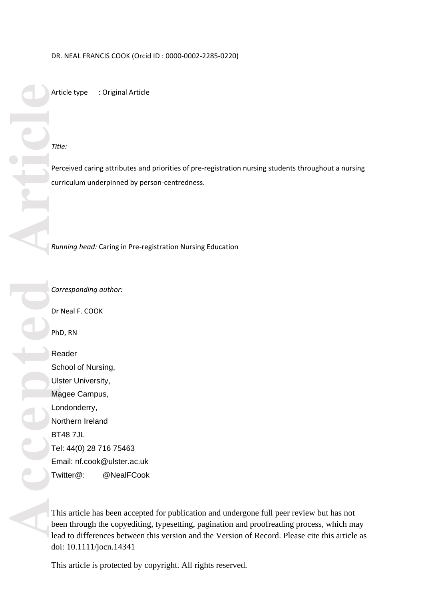### DR. NEAL FRANCIS COOK (Orcid ID : 0000 -0002 -2285 -0220)

Article type : Original Article

### *Title:*

Perceived caring attributes and priorities of pre-registration nursing students throughout a nursing curriculum underpinned by person -centredness.

Running head: Caring in Pre-registration Nursing Education

*Corresponding author:*

Dr Neal F. COOK

PhD, RN

**Accepted Article** Reader School of Nursing, Ulster University, Magee Campus, Londonderry, Northern Ireland BT48 7JL Tel: 44(0) 28 716 75463 Email: nf.cook@ulster.ac.uk Twitter@: @NealFCook

This article has been accepted for publication and undergone full peer review but has not been through the copyediting, typesetting, pagination and proofreading process, which may lead to differences between this version and the Version of Record. Please cite this article as doi: 10.1111/jocn.14341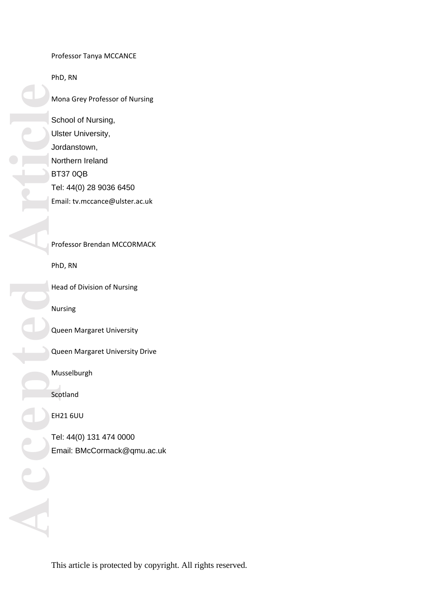## Professor Tanya MCCANCE

PhD, RN

Mona Grey Professor of Nursing

**Accepted Article Article Article Article Property Article Property Article Property Article Property Article Property Article Property Article Property Article Property Article Property Article Property Article Pr** School of Nursing, Ulster University, Jordanstown, Northern Ireland BT37 0QB Tel: 44(0) 28 9036 6450 Email: tv.mccance@ulster.ac.uk

## Professor Brendan MCCORMACK

PhD, RN

Head of Division of Nursing

Nursing

Queen Margaret University

Queen Margaret University Drive

Musselburgh

Scotland

## EH21 6UU

Tel: 44(0) 131 474 0000 Email: BMcCormack@qmu.ac.uk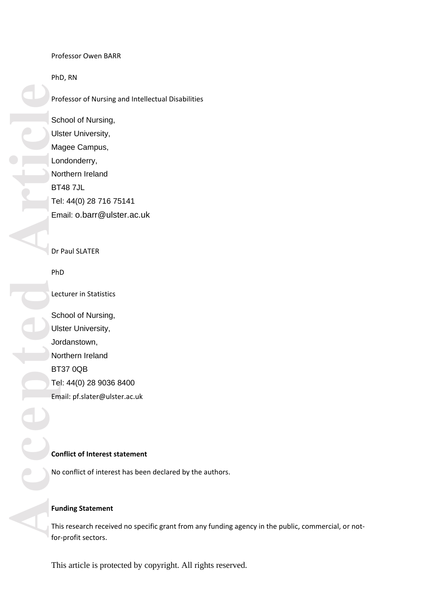PhD, RN

Professor of Nursing and Intellectual Disabilities

School of Nursing, Ulster University, Magee Campus, Londonderry, Northern Ireland BT48 7JL Tel: 44(0) 28 716 75141 Email: o.barr@ulster.ac.uk

## Dr Paul SLATER

PhD

Lecturer in Statistics

School of Nursing, Ulster University, Jordanstown, Northern Ireland BT37 0QB Tel: 44(0) 28 9036 8400 Email: pf.slater@ulster.ac.uk

## **Conflict of Interest statement**

No conflict of interest has been declared by the authors.

## **Funding Statement**

This research received no specific grant from any funding agency in the public, commercial, or not for -profit sectors.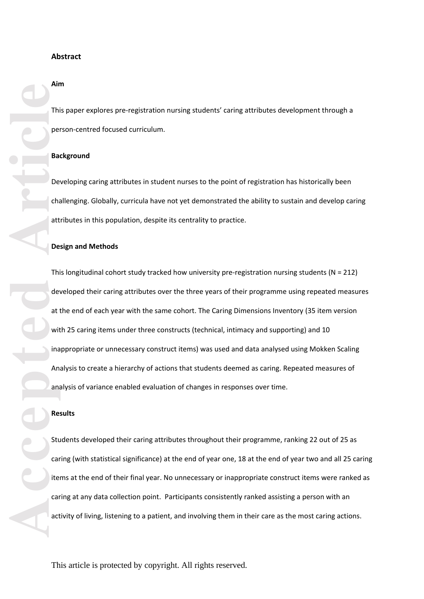This paper explores pre -registration nursing students' caring attributes development through a person -centred focused curriculum.

#### **Background**

Developing caring attributes in student nurses to the point of registration has historically been challenging. Globally, curricula have not yet demonstrated the ability to sustain and develop caring attributes in this population, despite its centrality to practice.

#### **Design and Methods**

**Accepted Article**<br> **Article**<br> **Article**<br> **Article**<br> **Article**<br> **Article**<br> **Article**<br> **Article**<br> **Article**<br> **Article**<br> **Article**<br> **Article**<br> **Article**<br> **Article**<br> **Article**<br> **Article** This longitudinal cohort study tracked how university pre -registration nursing students (N = 212) developed their caring attributes over the three years of their programme using repeated measures at the end of each year with the same cohort. The Caring Dimensions Inventory (35 item version with 25 caring items under three constructs (technical, intimacy and supporting) and 10 inappropriate or unnecessary construct items) was used and data analysed using Mokken Scaling Analysis to create a hierarchy of actions that students deemed as caring. Repeated measures of analysis of variance enabled evaluation of changes in responses over time.

### **Results**

Students developed their caring attributes throughout their programme, ranking 22 out of 25 as caring (with statistical significance) at the end of year one, 18 at the end of year two and all 25 caring items at the end of their final year. No unnecessary or inappropriate construct items were ranked as caring at any data collection point. Participants consistently ranked assisting a person with an activity of living, listening to a patient, and involving them in their care as the most caring actions.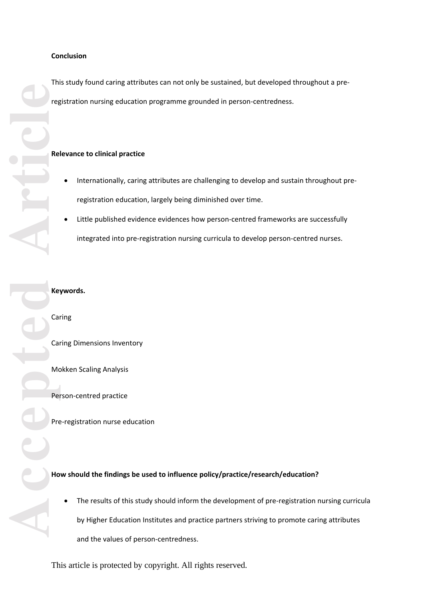### **Conclusion**

**ACCEPTED ARE**<br> **ARCCEPTED ARE**<br> **ARCCEPTED ARCCEPTED RE** This study found caring attributes can not only be sustained , but developed throughout a pre registration nursing education programme grounded in person -centredness .

#### **Relevance to clinical practice**

- Internationally, caring attributes are challenging to develop and sustain throughout preregistration education, largely being diminished over time.
- $\bullet$ Little published evidence evidences how person -centred frameworks are successfully integrated into pre -registration nursing curricula to develop person -centred nurses.

### **Keywords.**

Caring

Caring Dimensions Inventory

Mokken Scaling Analysis

Person -centred practice

Pre -registration nurse education

### **How should the findings be used to influence policy/practice/research/education?**

 The results of this study should inform the development of pre-registration nursing curricula by Higher Education Institutes and practice partners striving to promote caring attributes and the values of person -centredness.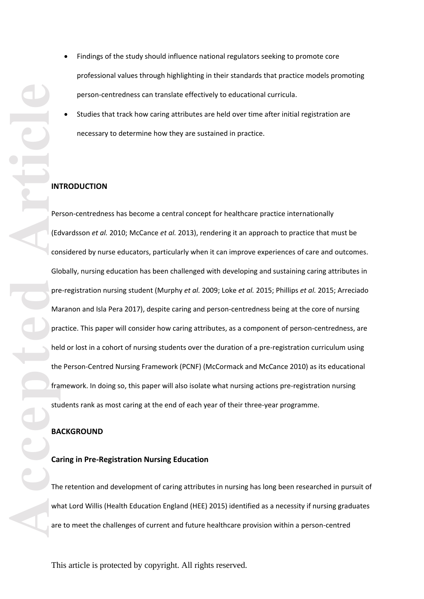- professional values through highlighting in their standards that practice models promoting person -centredness can translate effectively to educational curricula.
- Studies that track how caring attributes are held over time after initial registration are necessary to determine how they are sustained in practice.

## **INTRODUCTION**

• Findings of the study should influence national regulators seeking to promote core<br>protessional values through highlighting in their standards that practicle models pre<br>person-centredness can translate effectively to edu Person -centredness has become a central concept for healthcare practice internationally (Edvardsson *et al.* 2010; McCance *et al.* 2013), rendering it an approach to practice that must be considered by nurse educators, particularly when it can improve experiences of care and outcomes. Globally, nursing education has been challenged with developing and sustaining caring attributes in pre -registration nursing student (Murphy *et al.* 2009; Loke *et al.* 2015; Phillips *et al.* 2015; Arreciado Maranon and Isla Pera 2017), despite caring and person -centredness being at the core of nursing practice. This paper will consider how caring attributes, as a component of person -centredness, are held or lost in a cohort of nursing students over the duration of a pre -registration curriculum using the Person -Centred Nursing Framework (PCNF ) (McCormack and McCance 2010) as its educational framework. In doing so, this paper will also isolate what nursing actions pre -registration nursing students rank as most caring at the end of each year of their three -year programme.

#### **BACKGROUND**

### **Caring in Pre -Registration Nursing Education**

The retention and development of caring attributes in nursing has long been researched in pursuit of what Lord Willis (Health Education England (HEE ) 2015) identified as a necessity if nursing graduates are to meet the challenges of current and future healthcare provision within a person -centred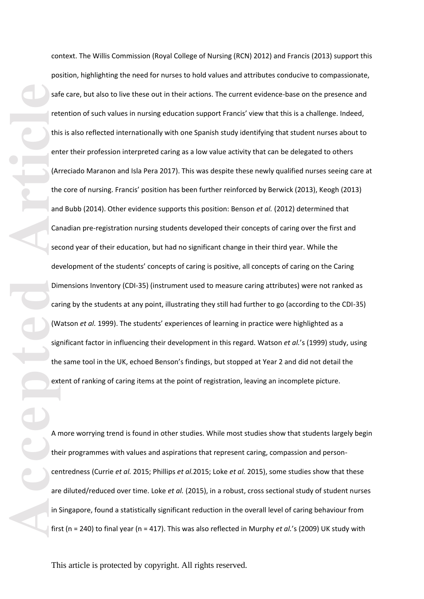**Accepted Article**<br> **Accepted Article**<br> **Article**<br> **Article**<br> **Article**<br> **Article**<br> **Article**<br> **Article**<br> **Article**<br> **Article**<br> **Article**<br> **Article**<br> **Article**<br> **Article**<br> **Article** context. The Willis Commission (Royal College of Nursing (RCN ) 2012) and Francis (2013) support this position, highlighting the need for nurses to hold values and attributes conducive to compassionate, safe care, but also to live these out in their actions. The current evidence -base on the presence and retention of such values in nursing education support Francis' view that this is a challenge. Indeed, this is also reflected internationally with one Spanish study identifying that student nurses about to enter their profession interpreted caring as a low value activity that can be delegated to others (Arreciado Maranon and Isla Pera 2017). This was despite these newly qualified nurses seeing care at the core of nursing. Francis' position has been further reinforced by Berwick (2013), Keogh (2013) and Bubb (2014). Other evidence supports this position: Benson *et al.* (2012) determined that Canadian pre -registration nursing students developed their concepts of caring over the first and second year of their education, but had no significant change in their third year. While the development of the students' concepts of caring is positive, all concepts of caring on the Caring Dimensions Inventory (CDI -35) (instrument used to measure caring attributes) were not ranked as caring by the students at any point, illustrating they still had further to go (according to the CDI -35) (Watson *et al.* 1999). The students' experiences of learning in practice were highlighted as a significant factor in influencing their development in this regard. Watson *et al.'s* (1999) study, using the same tool in the UK, echoed Benson's findings , but stopped at Year 2 and did not detail the extent of ranking of caring items at the point of registration, leaving an incomplete picture.

A more worrying trend is found in other studies. While most studies show that students largely begin their programmes with values and aspirations that represent caring, compassion and person centredness (Currie *et al.* 2015; Phillips *et al.*2015; Loke *et al.* 2015), some studies show that these are diluted/reduced over time. Loke *et al.* (2015), in a robust, cross sectional study of student nurses in Singapore, found a statistically significant reduction in the overall level of caring behaviour from first (n = 240) to final year (n = 417). This was also reflected in Murphy *et al.*'s (2009) UK study with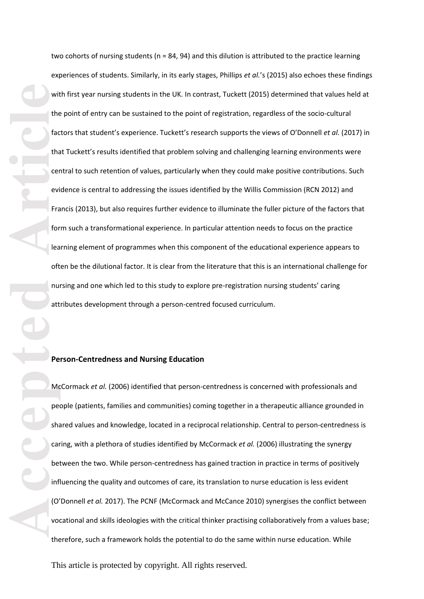with the fact that the cert evil Fra cert evil Fra for lea oft number at the fact that off number of the act of the metal off number of the metal off number of the metal off number of the metal off number of the metal off two cohorts of nursing students (n = 84, 94) and this dilution is attributed to the practice learning experiences of students. Similarly, in its early stages, Phillips et al.'s (2015) also echoes these findings with first year nursing students in the UK. In contrast, Tuckett (2015) determined that values held at the point of entry can be sustained to the point of registration, regardless of the socio -cultural factors that student's experience. Tuckett's research supports the views of O'Donnell *et al.* (2017) in that Tuckett's results identified that problem solving and challenging learning environments were central to such retention of values, particularly when they could make positive contributions. Such evidence is central to addressing the issues identified by the Willis Commission (RCN 2012) and Francis (2013), but also requires further evidence to illuminate the fuller picture of the factors that form such a transformational experience. In particular attention needs to focus on the practice learning element of programmes when this component of the educational experience appears to often be the dilutional factor. It is clear from the literature that this is an international challenge for nursing and one which led to this study to explore pre -registration nursing students' caring attributes development through a person -centred focused curriculum.

## **Person -Centredness and Nursing Education**

McCormack et al. (2006) identified that person-centredness is concerned with professionals and people (patients, families and communities) coming together in a therapeutic alliance grounded in shared values and knowledge, located in a reciprocal relationship. Central to person -centredness is caring, with a plethora of studies identified by McCormack *et al.* (2006) illustrating the synergy between the two. While person-centredness has gained traction in practice in terms of positively influencing the quality and outcomes of care, its translation to nurse education is less evident (O'Donnell *et al.* 2017). The PCNF (McCormack and McCance 2010) synergises the conflict between vocational and skills ideologies with the critical thinker practising collaboratively from a values base ; therefore, such a framework holds the potential to do the same within nurse education. While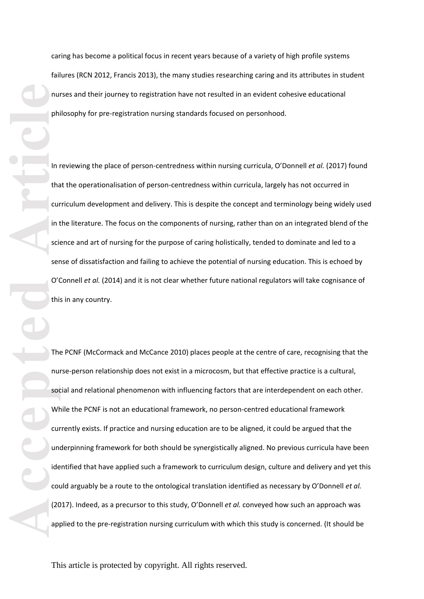caring has become a political focus in recent years because of a variety of high profile systems failures (RCN 2012, Francis 2013), the many studies researching caring and its attributes in student nurses and their journey to registration have not resulted in an evident cohesive educational philosophy for pre -registration nursing standards focused on personhood.

In reviewing the place of person-centredness within nursing curricula, O'Donnell et al. (2017) found that the operationalisation of person-centredness within curricula, largely has not occurred in curriculum development and delivery. This is despite the concept and terminology being widely used in the literature. The focus on the components of nursing, rather than on an integrated blend of the science and art of nursing for the purpose of caring holistically, tended to dominate and led to a sense of dissatisfaction and failing to achieve the potential of nursing education. This is echoed by O'Connell *et al.* (2014) and it is not clear whether future national regulators will take cognisance of this in any country.

**Accepted Article**<br> **Article**<br> **Article**<br> **Article**<br> **Article**<br> **Article**<br> **Article**<br> **Article**<br> **Article**<br> **Article**<br> **Article**<br> **Article**<br> **Article**<br> **Article**<br> **Article**<br> **Article**<br> **Article**<br> **Article**<br> **Article**<br> **A** The PCNF (McCormack and McCance 2010) places people at the centre of care, recognising that the nurse -person relationship does not exist in a microcosm, but that effective practice is a cultural, social and relational phenomenon with influencing factors that are interdependent on each other. While the PCNF is not an educational framework, no person -centred educational framework currently exists. If practice and nursing education are to be aligned, it could be argued that the underpinning framework for both should be synergistically aligned. No previous curricula have been identified that have applied such a framework to curriculum design, culture and delivery and yet this could arguably be a route to the ontological translation identified as necessary by O'Donnell *et al.* (2017). Indeed, as a precursor to this study, O'Donnell *et al.* conveyed how such an approach was applied to the pre-registration nursing curriculum with which this study is concerned. (It should be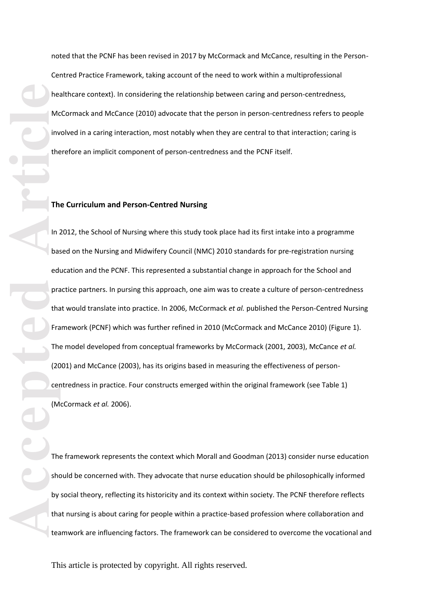noted that the PCNF has been revised in 2017 by McCormack and McCance, resulting in the Person - Centred Practice Framework, taking account of the need to work within a multiprofessional healthcare context ). In considering the relationship between caring and person -centredness, McCormack and McCance (2010) advocate that the person in person -centredness refers to people involved in a caring interaction, most notably when they are central to that interaction; caring is therefore an implicit component of person -centredness and the PCNF itself.

### **The Curriculum and Person -Centred Nursing**

**Accepted Accepted Article**<br> **Accepted Article**<br> **Accepted Article**<br> **Article**<br> **Article**<br> **Article**<br> **Article**<br> **Article**<br> **Article**<br> **Article**<br> **Article**<br> **Article**<br> **Article**<br> **Article**<br> **Article**<br> **Article**<br> **A** In 2012, the School of Nursing where this study took place had its first intake into a programme based on the Nursing and Midwifery Council (NMC) 2010 standards for pre -registration nursing education and the PCNF. This represented a substantial change in approach for the School and practice partners. In pursing this approach, one aim was to create a culture of person -centredness that would translate into practice. In 2006, McCormack *et al.* published the Person -Centred Nursing Framework (PCNF) which was further refined in 2010 (McCormack and McCance 2010) (Figure 1). The model developed from conceptual frameworks by McCormack (2001, 2003), McCance *et al.* (2001) and McCance (2003), has its origins based in measuring the effectiveness of person centredness in practice. Four constructs emerged within the original framework (see Table 1) (McCormack *et al.* 2006).

The framework represents the context which Morall and Goodman (2013) consider nurse education should be concerned with. They advocate that nurse education should be philosophically informed by social theory, reflecting its historicity and its context within society. The PCNF therefore reflects that nursing is about caring for people within a practice -based profession where collaboration and teamwork are influencing factors. The framework can be considered to overcome the vocational and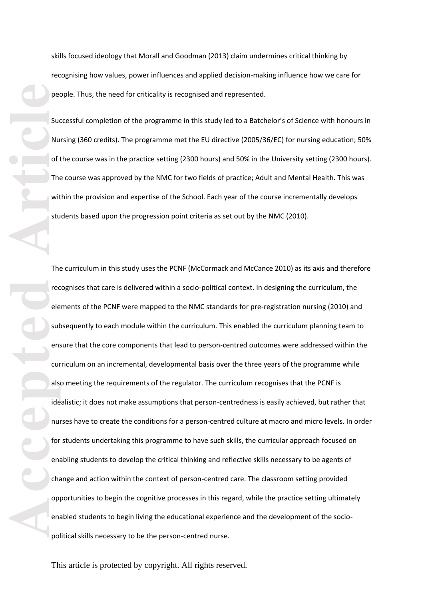skills focused ideology that Morall and Goodman (2013) claim undermines critical thinking by recognising how values, power influences and applied decision -making influence how we care for people. Thus, the need for criticality is recognised and represented.

Successful completion of the programme in this study led to a Batchelor's of Science with honours in Nursing (360 credits). The programme met the EU directive (2005/36/EC) for nursing education; 50% of the course was in the practice setting (2300 hours) and 50% in the University setting (2300 hours). The course was approved by the NMC for two fields of practice; Adult and Mental Health. This was within the provision and expertise of the School. Each year of the course incrementally develops students based upon the progression point criteria as set out by the NMC (2010).

ped<br> **Accepted**<br>
Article<br>
Article<br>
Article<br>
Article<br>
Article<br>
Article<br>
Article<br>
Article<br>
Article<br>
Article<br>
Article<br>
Article<br>
Article<br>
Article<br>
Article<br>
Article<br>
Article<br>
Article<br>
Article<br>
Article<br>
Article<br>
Article<br>
Article The curriculum in this study uses the PCNF (McCormack and McCance 2010) as its axis and therefore recognises that care is delivered within a socio-political context. In designing the curriculum, the elements of the PCNF were mapped to the NMC standards for pre -registration nursing (2010) and subsequently to each module within the curriculum. This enabled the curriculum planning team to ensure that the core components that lead to person -centred outcomes were addressed within the curriculum on an incremental, developmental basis over the three years of the programme while also meeting the requirements of the regulator. The curriculum recognises that the PCNF is idealistic; it does not make assumptions that person -centredness is easily achieved, but rather that nurses have to create the conditions for a person -centred culture at macro and micro levels. In order for students undertaking this programme to have such skills, the curricular approach focused on enabling students to develop the critical thinking and reflective skills necessary to be agents of change and action within the context of person -centred care. The classroom setting provided opportunities to begin the cognitive processes in this regard, while the practice setting ultimately enabled students to begin living the educational experience and the development of the socio political skills necessary to be the person -centred nurse.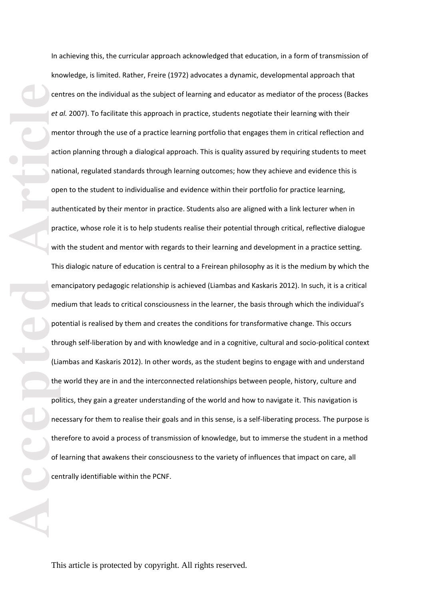**Properties and Properties and Properties and Properties and Properties and Properties and Properties and Properties and Properties and Properties and Properties and Properties and Properties and Properties and Properties** In achieving this, the curricular approach acknowledged that education, in a form of transmission of knowledge, is limited. Rather, Freire (1972) advocates a dynamic, developmental approach that centres on the individual as the subject of learning and educator as mediator of the process (Backes *et al.* 2007). To facilitate this approach in practice, students negotiate their learning with their mentor through the use of a practice learning portfolio that engages them in critical reflection and action planning through a dialogical approach. This is quality assured by requiring students to meet national, regulated standards through learning outcomes; how they achieve and evidence this is open to the student to individualise and evidence within their portfolio for practice learning, authenticated by their mentor in practice. Students also are aligned with a link lecturer when in practice, whose role it is to help students realise their potential through critical, reflective dialogue with the student and mentor with regards to their learning and development in a practice setting. This dialogic nature of education is central to a Freirean philosophy as it is the medium by which the emancipatory pedagogic relationship is achieved (Liambas and Kaskaris 2012). In such, it is a critical medium that leads to critical consciousness in the learner, the basis through which the individual's potential is realised by them and creates the conditions for transformative change. This occurs through self -liberation by and with knowledge and in a cognitive, cultural and socio -political context (Liambas and Kaskaris 2012). In other words, as the student begins to engage with and understand the world they are in and the interconnected relationships between people, history, culture and politics, they gain a greater understanding of the world and how to navigate it. This navigation is necessary for them to realise their goals and in this sense, is a self -liberating process. The purpose is therefore to avoid a process of transmission of knowledge, but to immerse the student in a method of learning that awakens their consciousness to the variety of influences that impact on care, all centrally identifiable within the PCNF.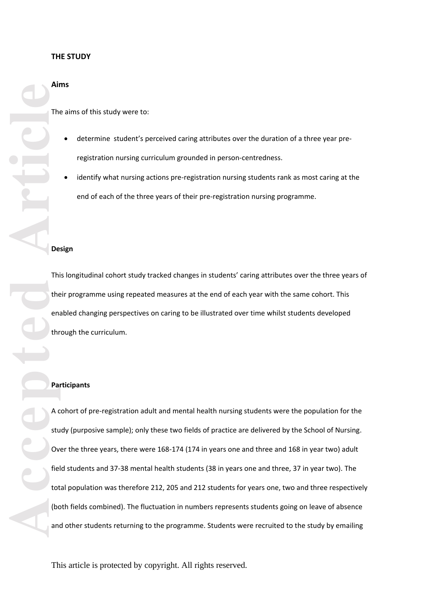#### **THE STUDY**

**Aims**

The aims of this study were to :

- $\bullet$ determine student's perceived caring attributes over the duration of a three year pre registration nursing curriculum grounded in person -centredness .
- identify what nursing actions pre-registration nursing students rank as most caring at the end of each of the three years of their pre -registration nursing programme .

#### **Design**

This longitudinal cohort study tracked changes in students ' caring attributes over the three years of their programme using repeated measures at the end of each year with the same cohort. This enabled changing perspectives on caring to be illustrated over time whilst students developed through the curriculum.

## **Participants**

The Real Particle Contract Contract Contract Contract Contract Contract Contract Contract Contract Contract Contract Contract Contract Contract Contract Contract Contract Contract Contract Contract Contract Contract Contra A cohort of pre -registration adult and mental health nursing students were the population for the study (purposive sample); only these two fields of practice are delivered by the School of Nursing. Over the three years, there were 168 -174 (174 in years one and three and 168 in year two) adult field students and 37 -38 mental health students (38 in years one and three, 37 in year two). The total population was therefore 212, 205 and 212 students for years one, two and three respectively (both fields combined). The fluctuation in numbers represents students going on leave of absence and other students returning to the programme. Students were recruited to the study by emailing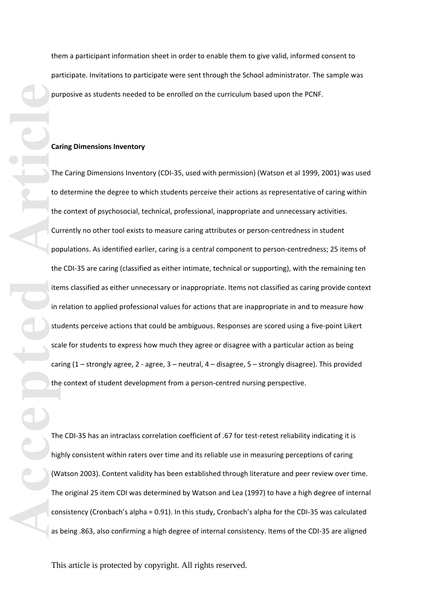them a participant information sheet in order to enable them to give valid, informed consent to participate. Invitations to participate were sent through the School administrator. The sample was purposive as students needed to be enrolled on the curriculum based upon the PCNF.

#### **Caring Dimensions Inventory**

**Accepted Article** The Caring Dimensions Inventory (CDI -35, used with permission) (Watson et al 1999, 2001) was used to determine the degree to which students perceive their actions as representative of caring within the context of psychosocial, technical, professional, inappropriate and unnecessary activities. Currently no other tool exists to measure caring attributes or person -centredness in student populations. As identified earlier, caring is a central component to person -centredness; 25 items of the CDI -35 are caring (classified as either intimate, technical or supporting), with the remaining ten items classified as either unnecessary or inappropriate. Items not classified a s caring provide context in relation to applied professional values for actions that are inappropriate in and to measure how students perceive actions that could be ambiguous. Responses are scored using a five -point Likert scale for students to express how much they agree or disagree with a particular action as being caring (1 - strongly agree, 2 - agree, 3 - neutral, 4 - disagree, 5 - strongly disagree). This provided the context of student development from a person -centred nursing perspective.

The CDI -35 has an intraclass correlation coefficient of .67 for test -retest reliability indicating it is highly consistent within raters over time and its reliable use in measuring perceptions of caring (Watson 2003). Content validity has been established through literature and peer review over time. The original 25 item CDI was determined by Watson and Lea (1997) to have a high degree of internal consistency (Cronbach's alpha = 0.91). In this study, Cronbach's alpha for the CDI -35 was calculated as being .863, also confirming a high degree of internal consistency. Items of the CDI -35 are aligned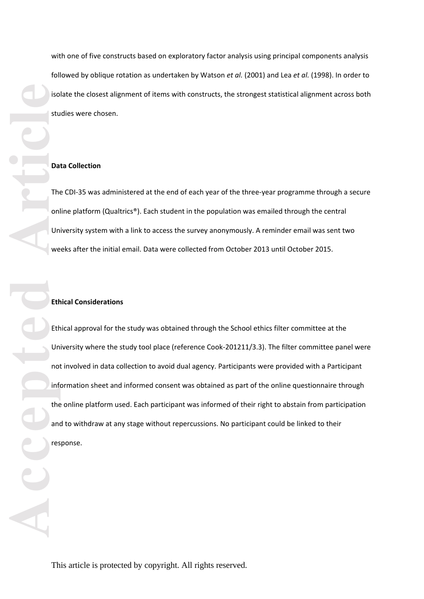with one of five constructs based on exploratory factor analysis using principal components analysis followed by oblique rotation as undertaken by Watson *et al.* (2001) and Lea *et al.* (1998). In order to isolate the closest alignment of items with constructs, the strongest statistical alignment across both studies were chosen.

#### **Data Collection**

The CDI -35 was administered at the end of each year of the three -year programme through a secure online platform (Qualtrics®). Each student in the population was emailed through the central University system with a link to access the survey anonymously. A reminder email was sent two weeks after the initial email. Data were collected from October 2013 until October 2015.

### **Ethical Considerations**

Ethical approval for the study was obtained through the School ethics filter committee at the University where the study tool place (reference Cook -201211/3.3). The filter committee panel were not involved in data collection to avoid dual agency. Participants were provided with a Participant information sheet and informed consent was obtained as part of the online questionnaire through the online platform used. Each participant was informed of their right to abstain from participation and to withdraw at any stage without repercussions. No participant could be linked to their response.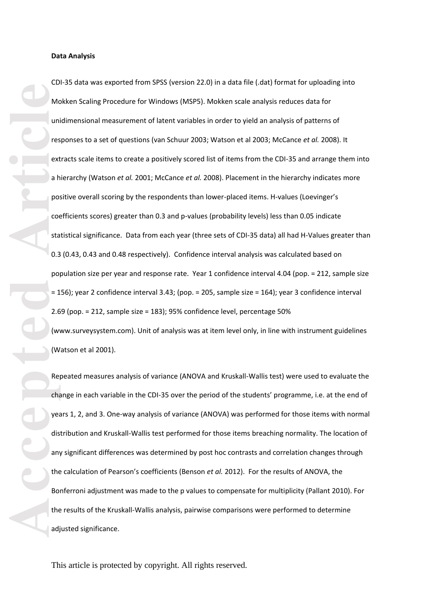Mc<br>
Internet and points<br>
articles<br>
Cot starting<br>
Cot starting<br>
Cot starting<br>
Cot starting<br>
Cot starting<br>
Cot starting<br>
Cot starting<br>
Cot starting<br>
Cot starting<br>
Cot starting<br>
Cot starting<br>
Cot starting<br>
Cot starting<br>
Cot s CDI -35 data was exported from SPSS (version 22.0) in a data file (.dat) format for uploading into Mokken Scaling Procedure for Windows (MSP5). Mokken scale analysis reduces data for unidimensional measurement of latent variables in order to yield an analysis of patterns of responses to a set of questions (van Schuur 2003; Watson et al 2003; McCance *et al.* 2008). It extracts scale items to create a positively scored list of items from the CDI -35 and arrange them into a hierarchy (Watson *et al.* 2001; McCance *et al.* 2008). Placement in the hierarchy indicates more positive overall scoring by the respondents than lower -placed items. H -values (Loevinger's coefficients scores) greater than 0.3 and p -values (probability levels) less than 0.05 indicate statistical significance. Data from each year (three sets of CDI -35 data) all had H -Values greater than 0.3 (0.43, 0.43 and 0.48 respectively). Confidence interval analysis was calculated based on population size per year and response rate. Year 1 confidence interval 4.04 (pop. = 212, sample size = 156); year 2 confidence interval 3.43; (pop. = 205, sample size = 164); year 3 confidence interval 2.69 (pop. = 212, sample size = 183); 95% confidence level, percentage 50% (www.surveysystem.com). Unit of analysis was at item level only, in line with instrument guidelines (Watson et al 2001).

Repeated measures analysis of variance (ANOVA and Kruskall -Wallis test) were used to evaluate the change in each variable in the CDI -35 over the period of the students' programme, i.e. at the end of years 1, 2, and 3. One -way analysis of variance (ANOVA) was performed for those items with normal distribution and Kruskall-Wallis test performed for those items breaching normality. The location of any significant differences was determined by post hoc contrasts and correlation changes through the calculation of Pearson's coefficients (Benson *et al.* 2012). For the results of ANOVA, the Bonferroni adjustment was made to the p values to compensate for multiplicity (Pallant 2010). For the results of the Kruskall-Wallis analysis, pairwise comparisons were performed to determine adjusted significance.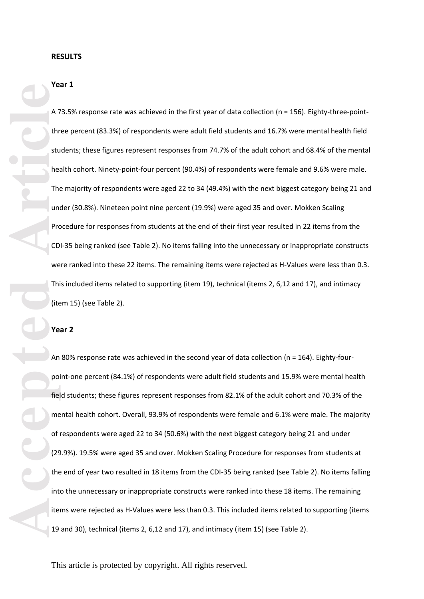A 73.5% response rate was achieved in the first year of data collection (n = 156). Eighty-three-pointthree percent (83.3%) of respondents were adult field students and 16.7% were mental health field students; these figures represent responses from 74.7% of the adult cohort and 68.4% of the mental health cohort. Ninety-point-four percent (90.4%) of respondents were female and 9.6% were male. The majority of respondents were aged 22 to 34 (49.4%) with the next biggest category being 21 and under (30.8%). Nineteen point nine percent (19.9%) were aged 35 and over. Mokken Scaling Procedure for responses from students at the end of their first year resulted in 22 items from the CDI -35 being ranked (see Table 2). No items falling into the unnecessary or inappropriate constructs were ranked into these 22 items. The remaining items were rejected as H -Values were less than 0.3. This included items related to supporting (item 19), technical (items 2, 6,12 and 17), and intimacy (item 15) (see Table 2).

#### **Year 2**

**Accepted Article**<br> **Article**<br> **Article**<br> **Article**<br> **Article**<br> **Article**<br> **Article**<br> **Article**<br> **Produce**<br> **Article**<br> **Produce**<br> **Article**<br> **Produce**<br> **Produce**<br> **Article**<br> **Produce**<br> **Produce**<br> **Article** An 80% response rate was achieved in the second year of data collection (n = 164). Eighty-fourpoint -one percent (84.1%) of respondents were adult field students and 15.9% were mental health field students; these figures represent responses from 82.1% of the adult cohort and 70.3% of the mental health cohort. Overall, 93.9% of respondents were female and 6.1% were male. The majority of respondents were aged 22 to 34 (50.6%) with the next biggest category being 21 and under (29.9%). 19.5% were aged 35 and over. Mokken Scaling Procedure for responses from students at the end of year two resulted in 18 items from the CDI -35 being ranked (see Table 2). No items falling into the unnecessary or inappropriate constructs were ranked into these 18 items. The remaining items were rejected as H -Values were less than 0.3. This included items related to supporting (items 19 and 30), technical (items 2, 6,12 and 17), and intimacy (item 15) (see Table 2).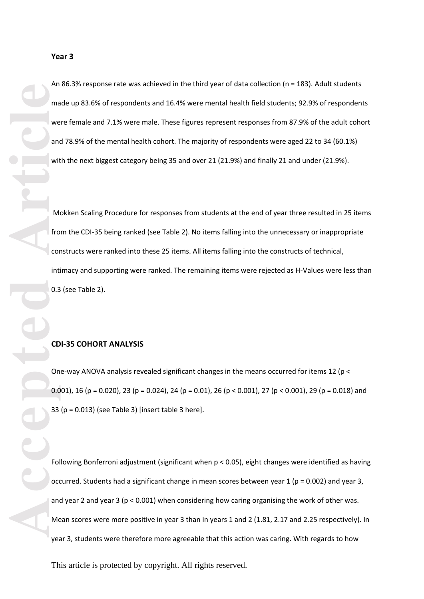An 86.3% response rate was achieved in the third year of data collection (n = 183). Adult students made up 83.6% of respondents and 16.4% were mental health field students; 92.9% of respondents were female and 7.1% were male. These figures represent responses from 87.9% of the adult cohort and 78.9% of the mental health cohort. The majority of respondents were aged 22 to 34 (60.1%) with the next biggest category being 35 and over 21 (21.9%) and finally 21 and under (21.9%).

Mokken Scaling Procedure for responses from students at the end of year three resulted in 25 items from the CDI-35 being ranked (see Table 2). No items falling into the unnecessary or inappropriate constructs were ranked into these 25 items. All items falling into the constructs of technical, intimacy and supporting were ranked. The remaining items were rejected as H - Values were less than 0.3 (see Table 2).

### **CDI -35 COHORT ANALYSIS**

One -way ANOVA analysis revealed significant changes in the means occurred for items 12 (p < 0.00 1), 16 (p = 0.020), 23 (p = 0.024), 24 (p = 0.01), 26 (p < 0.00 1), 27 (p < 0.001), 29 (p = 0.018) and 33 (p = 0.013) (see Table 3 ) [insert table 3 here].

**Accepted Article** Following Bonferroni adjustment (significant when p < 0.05), eight changes were identified as having occurred. Students had a significant change in mean scores between year 1 (p = 0.002) and year 3, and year 2 and year 3 (p < 0.001) when considering how caring organising the work of other was. Mean scores were more positive in year 3 than in years 1 and 2 (1.81, 2.17 and 2.25 respectively). In year 3, students were therefore more agreeable that this action was caring. With regards to how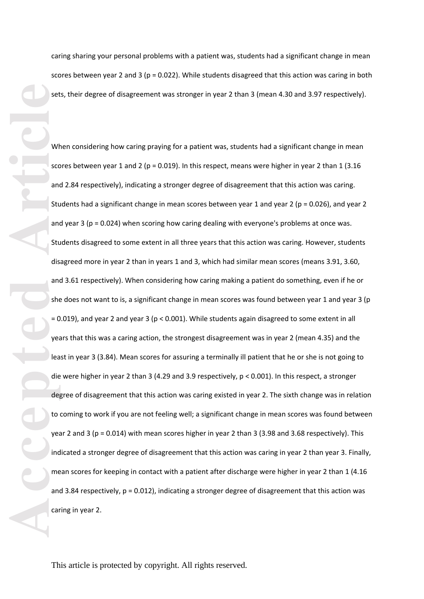caring sharing your personal problems with a patient was, students had a significant change in mean scores between year 2 and 3 (p = 0.022). While students disagreed that this action was caring in both sets, their degree of disagreement was stronger in year 2 than 3 (mean 4.30 and 3.97 respectively).

et and studies and studies and studies and studies and studies and studies are all to vealed a die degrade to vealed a die degrade to vealed a die degrade to vealed a die degrade to vealed a die degrade to vealed a die deg When considering how caring praying for a patient was, students had a significant change in mean scores between year 1 and 2 (p = 0.019). In this respect, means were higher in year 2 than 1 (3.16 and 2.84 respectively), indicating a stronger degree of disagreement that this action was caring. Students had a significant change in mean scores between year 1 and year 2 (p = 0.026), and year 2 and year 3 (p = 0.024) when scoring how caring dealing with everyone's problems at once was. Students disagreed to some extent in all three years that this action was caring. However, students disagreed more in year 2 than in years 1 and 3, which had similar mean scores (means 3.91, 3.60, and 3.61 respectively). When considering how caring making a patient do something, even if he or she does not want to is, a significant change in mean scores was found between year 1 and year 3 (p = 0.019), and year 2 and year 3 (p < 0.001). While students again disagreed to some extent in all years that this was a caring action, the strongest disagreement was in year 2 (mean 4.35) and the least in year 3 (3.84). Mean scores for assuring a terminally ill patient that he or she is not going to die were higher in year 2 than 3 (4.29 and 3.9 respectively, p < 0.001). In this respect, a stronger degree of disagreement that this action was caring existed in year 2. The sixth change was in relation to coming to work if you are not feeling well; a significant change in mean scores was found between year 2 and 3 (p = 0.014) with mean scores higher in year 2 than 3 (3.98 and 3.68 respectively). This indicated a stronger degree of disagreement that this action was caring in year 2 than year 3. Finally, mean scores for keeping in contact with a patient after discharge were higher in year 2 than 1 (4.16 and 3.84 respectively, p = 0.012), indicating a stronger degree of disagreement that this action was caring in year 2.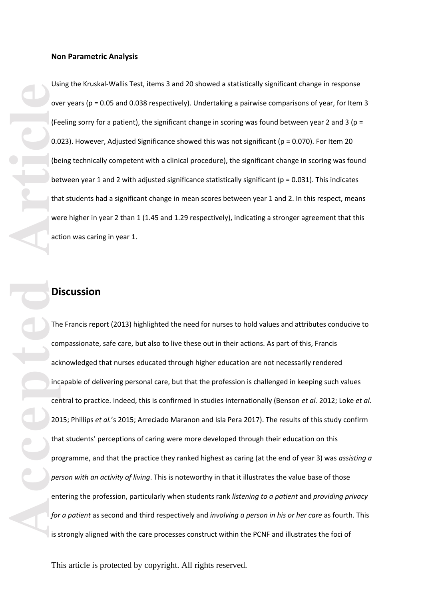#### **Non Parametric Analysis**

Using the Kruskal -Wallis Test, items 3 and 20 showed a statistically significant change in response over years ( $p = 0.05$  and 0.038 respectively). Undertaking a pairwise comparisons of year, for Item 3 (Feeling sorry for a patient), the significant change in scoring was found between year 2 and 3 (p = 0.023). However, Adjusted Significance showed this was not significant (p = 0.070). For Item 20 (being technically competent with a clinical procedure), the significant change in scoring was found between year 1 and 2 with adjusted significance statistically significant (p = 0.031). This indicates that students had a significant change in mean scores between year 1 and 2. In this respect, means were higher in year 2 than 1 (1.45 and 1.29 respectively), indicating a stronger agreement that this action was caring in year 1.

# **Discussion**

**Accepted Article**<br> **Article**<br> **Article**<br> **Article**<br> **Article**<br> **Article**<br> **Article**<br> **Article**<br> **Article**<br> **Article**<br> **Article**<br> **Article**<br> **Article**<br> **Article**<br> **Article**<br> **Article**<br> **Article**<br> **Article**<br> **Article**<br> **A** The Francis report (2013) highlighted the need for nurses to hold values and attributes conducive to compassionate, safe care, but also to live these out in their actions. As part of this, Francis acknowledged that nurses educated through higher education are not necessarily rendered incapable of delivering personal care, but that the profession is challenged in keeping such values central to practice. Indeed, this is confirmed in studies internationally (Benson *et al.* 2012; Loke *et al.* 2015; Phillips *et al .*'s 2015; Arreciado Maranon and Isla Pera 2017). The results of this study confirm that students' perceptions of caring were more developed through their education on this programme, and that the practice they ranked highest as caring (at the end of year 3) was *assisting a person with an activity of living*. This is noteworthy in that it illustrates the value base of those entering the profession, particularly when students rank *listening to a patient* and *providing privacy for a patient* as second and third respectively and *involving a person in his or her care* as fourth. This is strongly aligned with the care processes construct within the PC NF and illustrates the foci of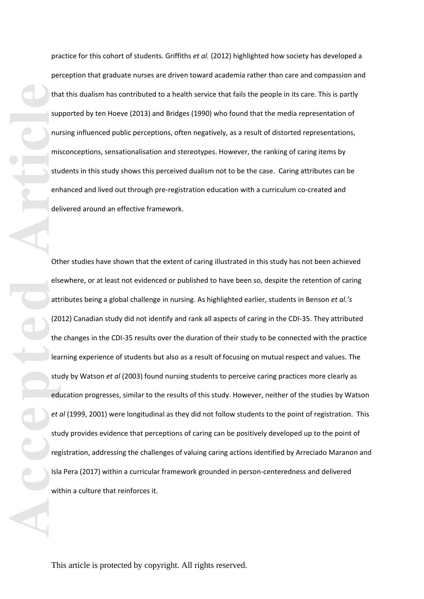practice for this cohort of students. Griffiths *et al.* (2012) highlighted how society has developed a perception that graduate nurses are driven toward academia rather than care and compassion and that this dualism has contributed to a health service that fails the people in its care. This is partly supported by ten Hoeve (2013) and Bridges (1990) who found that the media representation of nursing influenced public perceptions, often negatively, as a result of distorted representations, misconceptions, sensationalisation and stereotypes. However, the ranking of caring items by students in this study shows this perceived dualism not to be the case. Caring attributes can be enhanced and lived out through pre-registration education with a curriculum co-created and delivered around an effective framework.

the sure of the sure of the sure of the sure of the sure of the lead sture of the lead sture of the sure of the sture of the sture of the sture of the sture of the sture of the sture of the sture of the sture of the sture Other studies have shown that the extent of caring illustrated in this study has not been achieved elsewhere, or at least not evidenced or published to have been so, despite the retention of caring attributes being a global challenge in nursing. As highlighted earlier, students in Benson *et al.'s* (2012) Canadian study did not identify and rank all aspects of caring in the CDI -35. They attributed the changes in the CDI-35 results over the duration of their study to be connected with the practice learning experience of students but also as a result of focusing on mutual respect and values. The study by Watson *et al* (2003) found nursing students to perceive caring practices more clearly as education progresses, similar to the results of this study. However, neither of the studies by Watson *et al* (1999, 2001) were longitudinal as they did not follow students to the point of registration. This study provides evidence that perceptions of caring can be positively developed up to the point of registration , addressing the challenges of valuing caring actions identified by Arreciado Maranon and Isla Pera (2017) within a curricular framework grounded in person -centeredness and delivered within a culture that reinforces it.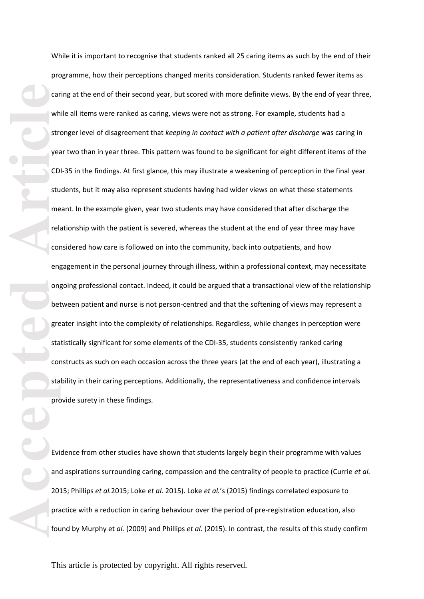Contraction of the Contraction of the Contraction of the Contraction of the Contraction of the Contraction of the Contraction of the Contraction of the Contraction of the Contraction of the Contraction of the Contraction o While it is important to recognise that students ranked all 25 caring items as such by the end of their programme, how their perceptions changed merits consideration. Students ranked fewer items as caring at the end of their second year, but scored with more definite views. By the end of year three, while all items were ranked as caring, views were not as strong. For example, students had a stronger level of disagreement that *keeping in contact with a patient after discharge* was caring in year two than in year three. This pattern was found to be significant for eight different items of the CDI -35 in the findings. At first glance, this may illustrate a weakening of perception in the final year students, but it may also represent students having had wider views on what these statements meant. In the example given, year two students may have considered that after discharge the relationship with the patient is severed, whereas the student at the end of year three may have considered how care is followed on into the community, back into outpatients, and how engagement in the personal journey through illness, within a professional context, may necessitate ongoing professional contact. Indeed, it could be argued that a transactional view of the relationship between patient and nurse is not person-centred and that the softening of views may represent a greater insight into the complexity of relationships. Regardless, while changes in perception were statistically significant for some elements of the CDI -35, students consistently ranked caring constructs as such on each occasion across the three years (at the end of each year), illustrating a stability in their caring perceptions. Additionally, the representativeness and confidence intervals provide surety in these findings.

Evidence from other studies have shown that students largely begin their programme with values and aspirations surrounding caring, compassion and the centrality of people to practice (Currie *et al.* 2015; Phillips *et al.*2015; Loke *et al.* 2015). Loke *et al.*'s (2015) findings correlated exposure to practice with a reduction in caring behaviour over the period of pre -registration education, also found by Murphy et *al.* (2009) and Phillips *et al.* (2015). In contrast, the results of this study confirm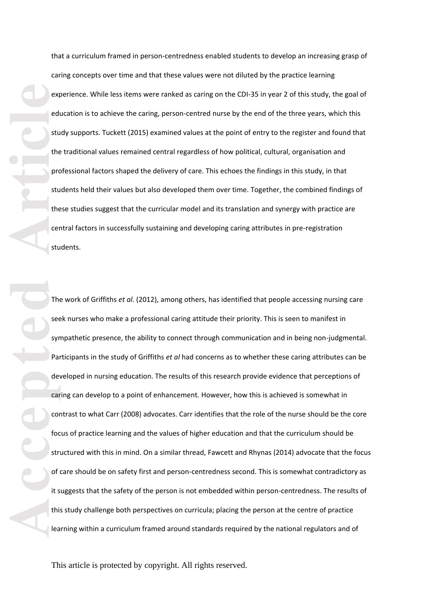that a curriculum framed in person -centredness enabled students to develop an increasing grasp of caring concepts over time and that these values were not diluted by the practice learning experience. While less items were ranked as caring on the CDI -35 in year 2 of this study, the goal of education is to achieve the caring, person-centred nurse by the end of the three years, which this study supports. Tuckett (2015) examined values at the point of entry to the register and found that the traditional values remained central regardless of how political, cultural, organisation and professional factors shaped the delivery of care. This echoes the findings in this study, in that students held their values but also developed them over time. Together, the combined findings of these studies suggest that the curricular model and its translation and synergy with practice are central factors in successfully sustaining and developing caring attributes in pre -registration students.

expediant and the product of the cert of the cert of the cert of the cert of the cert of the cert of the cert of the cert of the set of the set of the set of the set of the set of the set of the set of the set of the set o The work of Griffiths *et al.* (2012), among others, has identified that people accessing nursing care seek nurses who make a professional caring attitude their priority. This is seen to manifest in sympathetic presence, the ability to connect through communication and in being non -judgmental. Participants in the study of Griffiths *et al* had concerns as to whether these caring attributes can be developed in nursing education. The results of this research provide evidence that perceptions of caring can develop to a point of enhancement. However, how this is achieved is somewhat in contrast to what Carr (2008) advocates. Carr identifies that the role of the nurse should be the core focus of practice learning and the values of higher education and that the curriculum should be structured with this in mind. On a similar thread, Fawcett and Rhynas (2014) advocate that the focus of care should be on safety first and person -centredness second. This is somewhat contradictory as it suggests that the safety of the person is not embedded within person -centredness. The results of this study challenge both perspectives on curricula; placing the person at the centre of practice learning within a curriculum framed around standards required by the national regulators and of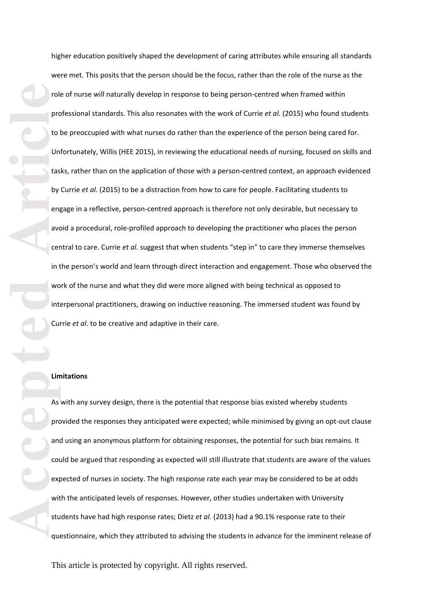For to produce the to be to be the to be the to be the to be the second to be the second with the produce of the second with studies of the second with studies of the second with studies of the second with studies of the s higher education positively shaped the development of caring attributes while ensuring all standards were met. This posits that the person should be the focus, rather than the role of the nurse as the role of nurse will naturally develop in response to being person -centred when framed within professional standards. This also resonates with the work of Currie *et al.* (2015) who found students to be preoccupied with what nurses do rather than the experience of the person being cared for. Unfortunately, Willis (HEE 2015), in reviewing the educational needs of nursing, focused on skills and tasks, rather than on the application of those with a person -centred context, an approach evidenced by Currie *et al.* (2015) to be a distraction from how to care for people. Facilitating students to engage in a reflective, person-centred approach is therefore not only desirable, but necessary to avoid a procedural, role-profiled approach to developing the practitioner who places the person central to care. Currie *et al.* suggest that when students "step in" to care they immerse themselves in the person's world and learn through direct interaction and engagement. Those who observed the work of the nurse and what they did were more aligned with being technical as opposed to interpersonal practitioners, drawing on inductive reasoning. The immersed student was found by Currie *et al.* to be creative and adaptive in their care.

#### **Limitations**

As with any survey design, there is the potential that response bias existed whereby students provided the responses they anticipated were expected; while minimised by giving an opt-out clause and using an anonymous platform for obtaining responses, the potential for such bias remains. It could be argued that responding as expected will still illustrate that students are aware of the values expected of nurses in society. The high response rate each year may be considered to be at odds with the anticipated levels of responses. However, other studies undertaken with University students have had high response rates; Dietz *et al.* (2013) had a 90.1% response rate to their questionnaire, which they attributed to advising the students in advance for the imminent release of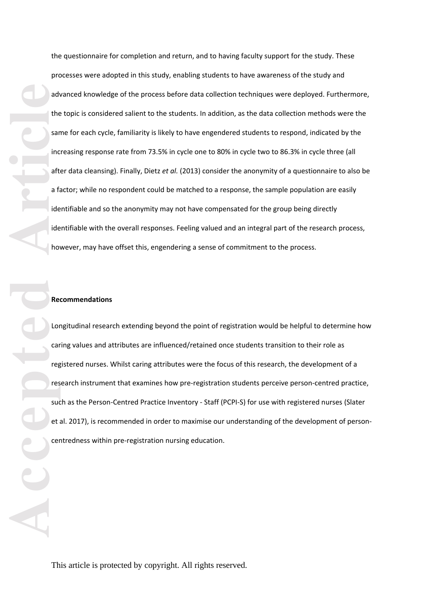**Accepted Article**<br> **Accepted**<br> **Article**<br> **Article**<br> **Article**<br> **Article**<br> **Article**<br> **Article**<br> **Article**<br> **Article**<br> **Article**<br> **Article**<br> **Article**<br> **Article**<br> **Article**<br> **Article**<br> **Article** the questionnaire for completion and return, and to having faculty support for the study. These processes were adopted in this study, enabling students to have awareness of the study and advanced knowledge of the process before data collection techniques were deployed. Furthermore, the topic is considered salient to the students. In addition, as the data collection methods were the same for each cycle, familiarity is likely to have engendered students to respond, indicated by the increasing response rate from 73.5% in cycle one to 80% in cycle two to 86.3% in cycle three (all after data cleansing). Finally, Dietz *et al.* (2013) consider the anonymity of a questionnaire to also be a factor; while no respondent could be matched to a response, the sample population are easily identifiable and so the anonymity may not have compensated for the group being directly identifiable with the overall responses. Feeling valued and an integral part of the research process, however, may have offset this, engendering a sense of commitment to the process.

### **Recommendations**

Longitudinal research extending beyond the point of registration would be helpful to determine how caring values and attributes are influenced/retained once students transition to their role as registered nurses. Whilst caring attributes were the focus of this research, the development of a research instrument that examines how pre -registration students perceive person -centred practice, such as the Person -Centred Practice Inventory - Staff (PCPI -S) for use with registered nurses (Slater et al. 2017) , is recommended in order to maximise our understanding of the development of person centredness within pre -registration nursing education.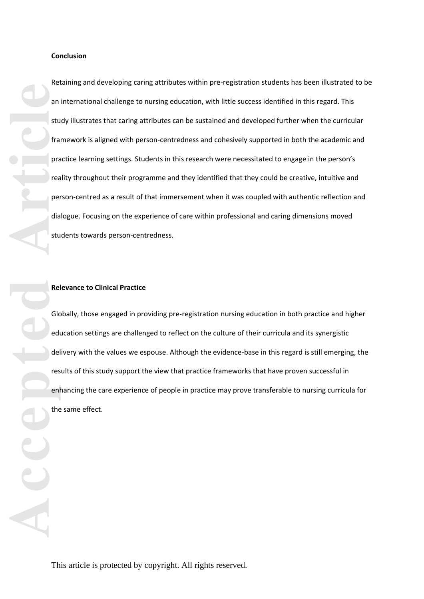**Accepted Article**<br> **Article**<br> **Article**<br> **Article**<br> **Article**<br> **Article**<br> **Article**<br> **Article**<br> **Article**<br> **Article**<br> **Article**<br> **Article**<br> **Article**<br> **Article**<br> **Article**<br> **Article**<br> **Article** Retaining and developing caring attributes within pre-registration students has been illustrated to be an international challenge to nursing education, with little success identified in this regard. This study illustrates that caring attributes can be sustained and developed further when the curricular framework is aligned with person-centredness and cohesively supported in both the academic and practice learning settings. Students in this research were necessitated to engage in the person's reality throughout their programme and they identified that they could be creative, intuitive and person -centred as a result of that immersement when it was coupled with authentic reflection and dialogue. Focusing on the experience of care within professional and caring dimensions moved students towards person -centredness.

#### **Relevance to Clinical Practice**

Globally, those engaged in providing pre -registration nursing education in both practice and higher education settings are challenged to reflect on the culture of their curricula and its synergistic delivery with the values we espouse. Although the evidence -base in this regard is still emerging, the result s of this study support the view that practice frameworks that have proven successful in enhancing the care experience of people in practice may prove transferable to nursing curricula for the same effect.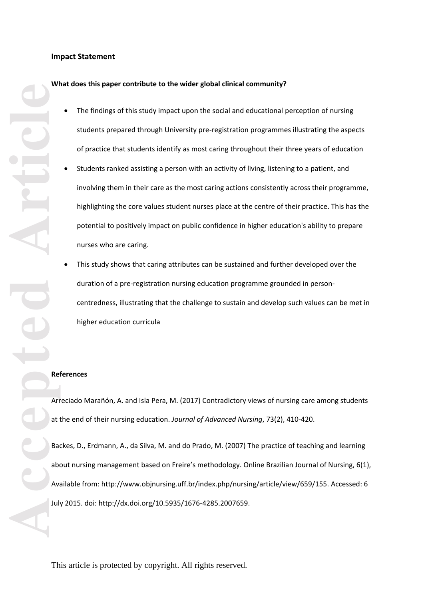#### **Impact Statement**

#### **What does this paper contribute to the wider global clinical community?**

- The findings of this study impact upon the social and educational perception of nursing students prepared through University pre -registration programmes illustrating the aspects of practice that students identify as most caring throughout their three years of education
- Students ranked assisting a person with an activity of living, listening to a patient, and involving them in their care as the most caring actions consistently across their programme, highlighting the core values student nurses place at the centre of their practice. This has the potential to positively impact on public confidence in higher education's ability to prepare nurses who are caring.
- This study shows that caring attributes can be sustained and further developed over the duration of a pre -registration nursing education programme grounded in person centredness, illustrating that the challenge to sustain and develop such values can be met in higher education curricula

### **References**

Arreciado Marañón, A. and Isla Pera, M. (2017) Contradictory views of nursing care among students at the end of their nursing education. *Journal of Advanced Nursing*, 73(2), 410-420.

ACCEPTED **Article** Backes, D., Erdmann, A., da Silva, M. and do Prado, M. (2007) The practice of teaching and learning about nursing management based on Freire's methodology. Online Brazilian Journal of Nursing, 6(1), Available from: http://www.objnursing.uff.br/index.php/nursing/article/view/659/155. Accessed: 6 July 2015. doi: http://dx.doi.org/10.5935/1676 -4285.2007659 .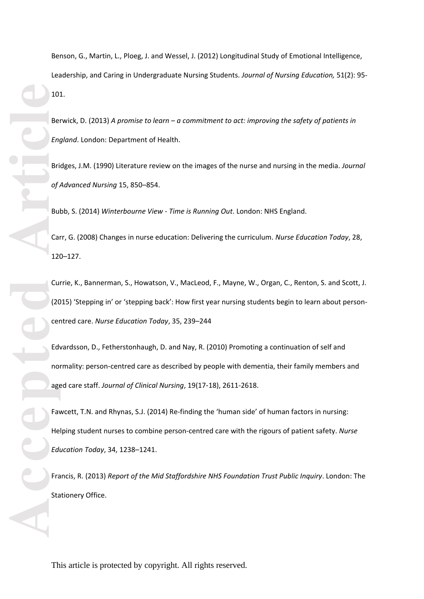Benson, G., Martin, L., Ploeg, J. and Wessel, J. (2012) Longitudinal Study of Emotional Intelligence, Leadership, and Caring in Undergraduate Nursing Students. *Journal of Nursing Education,* 51(2): 95 - 101.

Berwick, D. (2013) A promise to learn - a commitment to act: improving the safety of patients in *England*. London: Department of Health.

Bridges, J.M. (1990) Literature review on the images of the nurse and nursing in the media. *Journal of Advanced Nursing* 15, 850 –854.

Bubb, S. (2014) *Winterbourne View - Time is Running Out*. London: NHS England.

Carr, G. (2008) Changes in nurse education: Delivering the curriculum. *Nurse Education Today*, 28, 120 –127.

Currie, K., Bannerman, S., Howatson, V., MacLeod, F., Mayne, W., Organ, C., Renton, S. and Scott, J. (2015) 'Stepping in' or 'stepping back': How first year nursing students begin to learn about person centred care. *Nurse Education Today*, 35, 239 –244

Edvardsson, D., Fetherstonhaugh, D. and Nay, R. (2010) Promoting a continuation of self and normality: person ‐centred care as described by people with dementia, their family members and aged care staff. Journal of Clinical Nursing, 19(17-18), 2611-2618.

Fawcett, T.N. and Rhynas, S.J. (2014) Re-finding the 'human side' of human factors in nursing: Helping student nurses to combine person -centred care with the rigours of patient safety. *Nurse Education Today*, 34, 1238 –1241.

Francis, R. (2013) *Report of the Mid Staffordshire NHS Foundation Trust Public Inquiry* . London: The Stationery Office.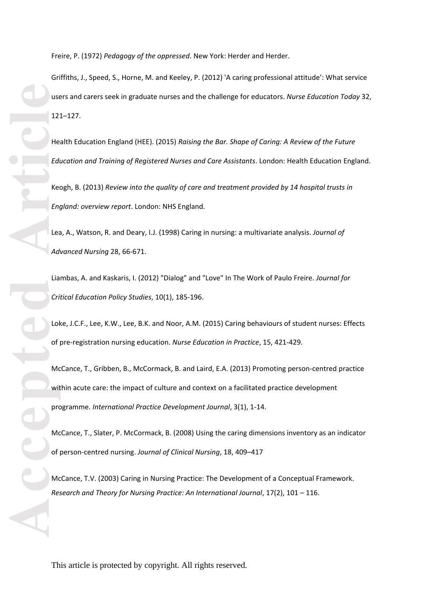Freire, P. (1972) *Pedagogy of the oppressed*. New York: Herder and Herder.

Griffiths, J., Speed, S., Horne, M. and Keeley, P. (2012 ) 'A caring professional attitude': What service users and carers seek in graduate nurses and the challenge for educators. *Nurse Education Today* 32, 121 –127.

**Accepted Articles Articles Articles Add Lia** *Cri* Lea *Add* Lia *Cri* Lea *Add* Lia *Cri* Lea *Add* Lia *Cri* Lea *Add* Lia *Cri* Lea *Add* Lia *Cri* Lea *Add* Lia *Cri* Lea *Add* Lia *Cri* Lea *Add* Lia *Cri* Le Health Education England (HEE). (2015) *Raising the Bar. Shape of Caring: A Review of the Future Education and Training of Registered Nurses and Care Assistants*. London: Health Education England. Keogh, B. (2013 ) *Review into the quality of care and treatment provided by 14 hospital trusts in England: overview report*. London: NHS England.

Lea, A., Watson, R. and Deary, I.J. (1998) Caring in nursing: a multivariate analysis. *Journal of Advanced Nursing* 28, 66 -671.

Liambas, A. and Kaskaris, I. (2012) "Dialog" and "Love" In The Work of Paulo Freire. *Journal for Critical Education Policy Studies*, 10(1), 185 -196.

Loke, J.C.F., Lee, K.W., Lee, B.K. and Noor, A.M. (2015 ) Caring behaviours of student nurses: Effects of pre -registration nursing education. *Nurse Education in Practice*, 15, 421 -429.

McCance, T., Gribben, B., McCormack, B. and Laird, E.A. (2013) Promoting person -centred practice within acute care: the impact of culture and context on a facilitated practice development programme. *International Practice Development Journal*, 3(1), 1 -14.

McCance, T., Slater, P. McCormack, B. (2008) Using the caring dimensions inventory as an indicator of person -centred nursing. *Journal of Clinical Nursing*, 18, 409 –417

McCance, T.V. (2003) Caring in Nursing Practice: The Development of a Conceptual Framework. *Research and Theory for Nursing Practice: An International Journal*, 17(2), 101 – 116.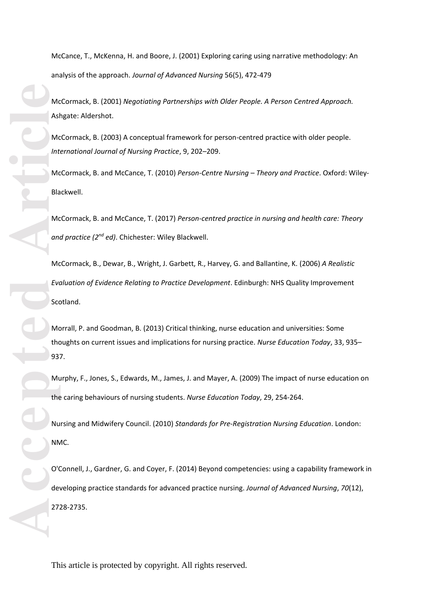McCance, T., McKenna, H. and Boore, J. (2001) Exploring caring using narrative methodology: An analysis of the approach. *Journal of Advanced Nursing* 56(5), 472 -479

McCormack, B. (2001) *Negotiating Partnerships with Older People. A Person Centred Approach.* Ashgate: Aldershot.

McCormack, B. (2003) A conceptual framework for person -centred practice with older people. *International Journal of Nursing Practice*, 9, 202 –209.

McCormack, B. and McCance, T. (2010) Person-Centre Nursing - Theory and Practice. Oxford: Wiley-Blackwell.

McCormack, B. and McCance, T. (2017) *Person -centred practice in nursing and health care: Theory and practice (2nd ed)*. Chichester: Wiley Blackwell.

Mc<br>Ast<br>Accepted<br>Article<br>Bla<br>Mc<br>Bla<br>Mc<br>Bla<br>Mc<br>Scc<br>Scc<br>Mc<br>Scc<br>Mc<br>Scc<br>Mc<br>Scc<br>Mc<br>Scc<br>23 McCormack, B., Dewar, B., Wright, J. Garbett, R., Harvey, G. and Ballantine, K. (2006 ) *A Realistic Evaluation of Evidence Relating to Practice Development*. Edinburgh: NHS Quality Improvement Scotland.

Morrall, P. and Goodman, B. (2013) Critical thinking, nurse education and universities: Some thoughts on current issues and implications for nursing practice. *Nurse Education Today*, 33, 935 – 937.

Murphy, F., Jones, S., Edwards, M., James, J. and Mayer, A. (2009) The impact of nurse education on the caring behaviours of nursing students. *Nurse Education Today*, 29, 254 -264.

Nursing and Midwifery Council. (2010) *Standards for Pre -Registration Nursing Education*. London: NMC.

O'Connell, J., Gardner, G. and Coyer, F. (2014 ) Beyond competencies: using a capability framework in developing practice standards for advanced practice nursing. *Journal of Advanced Nursing* , *70*(12), 2728 -2735.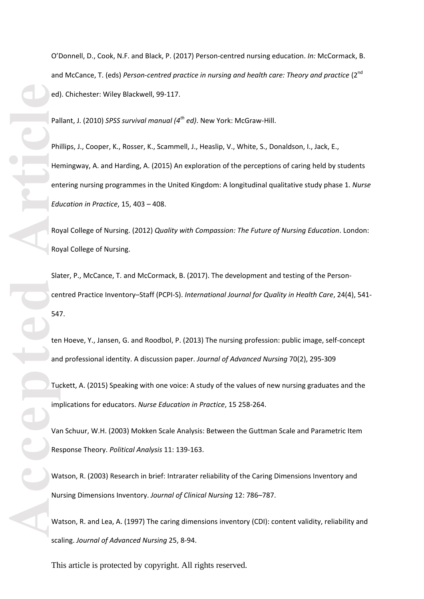O'Donnell, D., Cook, N.F. and Black, P. (2017) Person -centred nursing education. *In:* McCormack, B. and McCance, T. (eds) Person-centred practice in nursing and health care: Theory and practice (2<sup>nd</sup> ed). Chichester: Wiley Blackwell, 99 -117.

Pallant, J. (2010) SPSS survival manual (4<sup>th</sup> ed). New York: McGraw-Hill.

Phillips, J., Cooper, K., Rosser, K., Scammell, J., Heaslip, V., White, S., Donaldson, I., Jack, E., Hemingway, A. and Harding, A. (2015) An exploration of the perceptions of caring held by students entering nursing programmes in the United Kingdom: A longitudinal qualitative study phase 1. *Nurse Education in Practice*, 15, 403 – 408.

Royal College of Nursing. (2012) *Quality with Compassion: The Future of Nursing Education*. London: Royal College of Nursing.

Slater, P., McCance, T. and McCormack, B. (2017). The development and testing of the Person centred Practice Inventory-Staff (PCPI-S). International Journal for Quality in Health Care, 24(4), 541-547.

ten Hoeve, Y., Jansen, G. and Roodbol, P. (2013) The nursing profession: public image, self -concept and professional identity. A discussion paper. Journal of Advanced Nursing 70(2), 295-309

Tuckett, A. (2015) Speaking with one voice: A study of the values of new nursing graduates and the implications for educators. *Nurse Education in Practice*, 15 258 -264.

Van Schuur, W.H. (2003) Mokken Scale Analysis: Between the Guttman Scale and Parametric Item Response Theory. *Political Analysis* 11: 139 -163.

Watson, R. (2003) Research in brief: Intrarater reliability of the Caring Dimensions Inventory and Nursing Dimensions Inventory. *Journal of Clinical Nursing* 12: 786 –787.

Watson, R. and Lea, A. (1997) The caring dimensions inventory (CDI): content validity, reliability and scaling. *Journal of Advanced Nursing* 25, 8 -94.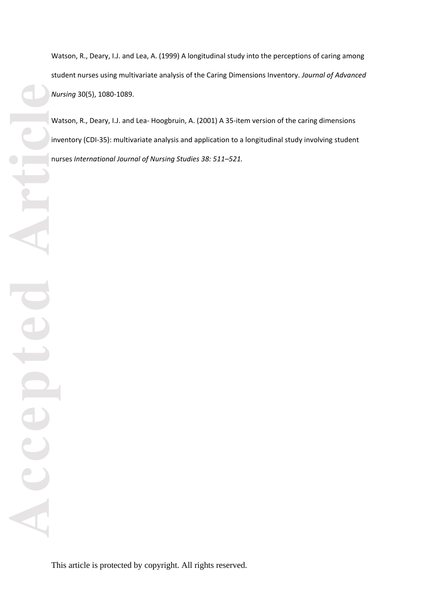Watson, R., Deary, I.J. and Lea, A. (1999) A longitudinal study into the perceptions of caring among student nurses using multivariate analysis of the Caring Dimensions Inventory. *Journal of Advanced Nursing* 30(5), 1080 -1089.

**Accepted Article** Watson, R., Deary, I.J. and Lea- Hoogbruin, A. (2001) A 35-item version of the caring dimensions inventory (CDI -35): multivariate analysis and application to a longitudinal study involving student nurses *International Journal of Nursing Studies 38: 511 –521.*

DI.

CCC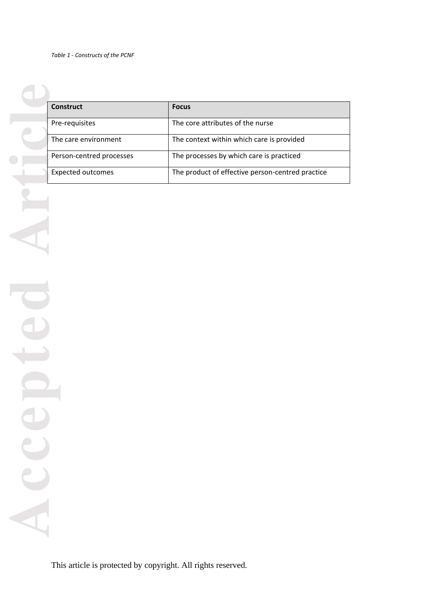#### *Table 1 - Constructs of the PCNF*

| <b>Construct</b>         | <b>Focus</b>                                     |
|--------------------------|--------------------------------------------------|
| Pre-requisites           | The core attributes of the nurse                 |
| The care environment     | The context within which care is provided        |
| Person-centred processes | The processes by which care is practiced         |
| <b>Expected outcomes</b> | The product of effective person-centred practice |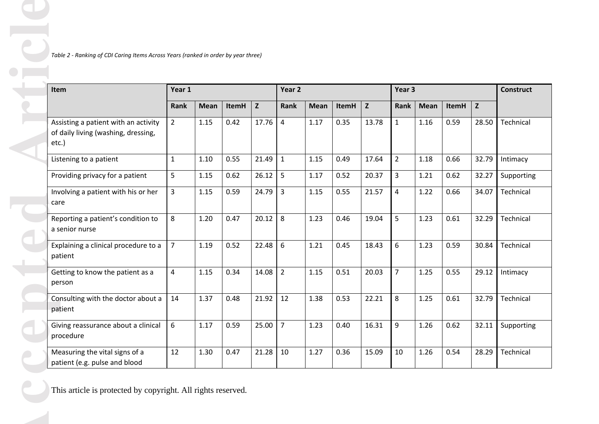| Item                                                                                 | Year 1         |             |              |              | Year <sub>2</sub> |             |              |              | Year 3         |      |              |              | <b>Construct</b> |
|--------------------------------------------------------------------------------------|----------------|-------------|--------------|--------------|-------------------|-------------|--------------|--------------|----------------|------|--------------|--------------|------------------|
|                                                                                      | Rank           | <b>Mean</b> | <b>ItemH</b> | $\mathbf{Z}$ | Rank              | <b>Mean</b> | <b>ItemH</b> | $\mathbf{Z}$ | Rank           | Mean | <b>ItemH</b> | $\mathbf{Z}$ |                  |
| Assisting a patient with an activity<br>of daily living (washing, dressing,<br>etc.) | $2^{\circ}$    | 1.15        | 0.42         | 17.76        | $\overline{4}$    | 1.17        | 0.35         | 13.78        | $\mathbf{1}$   | 1.16 | 0.59         | 28.50        | Technical        |
| Listening to a patient                                                               | $\mathbf{1}$   | 1.10        | 0.55         | 21.49        | $\mathbf{1}$      | 1.15        | 0.49         | 17.64        | $2^{\circ}$    | 1.18 | 0.66         | 32.79        | Intimacy         |
| Providing privacy for a patient                                                      | 5              | 1.15        | 0.62         | 26.12        | 5                 | 1.17        | 0.52         | 20.37        | $\overline{3}$ | 1.21 | 0.62         | 32.27        | Supporting       |
| Involving a patient with his or her<br>care                                          | $\overline{3}$ | 1.15        | 0.59         | 24.79        | $\overline{3}$    | 1.15        | 0.55         | 21.57        | 4              | 1.22 | 0.66         | 34.07        | Technical        |
| Reporting a patient's condition to<br>a senior nurse                                 | 8              | 1.20        | 0.47         | 20.12        | 8                 | 1.23        | 0.46         | 19.04        | 5              | 1.23 | 0.61         | 32.29        | Technical        |
| Explaining a clinical procedure to a<br>patient                                      | $\overline{7}$ | 1.19        | 0.52         | 22.48        | 6                 | 1.21        | 0.45         | 18.43        | 6              | 1.23 | 0.59         | 30.84        | Technical        |
| Getting to know the patient as a<br>person                                           | $\overline{4}$ | 1.15        | 0.34         | 14.08        | $\overline{2}$    | 1.15        | 0.51         | 20.03        | $\overline{7}$ | 1.25 | 0.55         | 29.12        | Intimacy         |
| Consulting with the doctor about a<br>patient                                        | 14             | 1.37        | 0.48         | 21.92        | 12                | 1.38        | 0.53         | 22.21        | 8              | 1.25 | 0.61         | 32.79        | Technical        |
| Giving reassurance about a clinical<br>procedure                                     | 6              | 1.17        | 0.59         | $25.00$ 7    |                   | 1.23        | 0.40         | 16.31        | 9              | 1.26 | 0.62         | 32.11        | Supporting       |
| Measuring the vital signs of a<br>patient (e.g. pulse and blood                      | 12             | 1.30        | 0.47         | 21.28        | 10                | 1.27        | 0.36         | 15.09        | 10             | 1.26 | 0.54         | 28.29        | Technical        |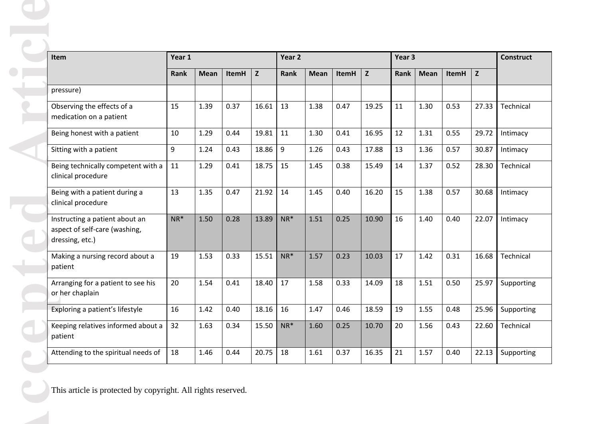| Item                                                                               | Year 1 |             |              |            | Year <sub>2</sub> |             |              |       | Year <sub>3</sub> |             |              |       | <b>Construct</b> |
|------------------------------------------------------------------------------------|--------|-------------|--------------|------------|-------------------|-------------|--------------|-------|-------------------|-------------|--------------|-------|------------------|
|                                                                                    | Rank   | <b>Mean</b> | <b>ItemH</b> | Z          | Rank              | <b>Mean</b> | <b>ItemH</b> | Z     | Rank              | <b>Mean</b> | <b>ItemH</b> | z     |                  |
| pressure)                                                                          |        |             |              |            |                   |             |              |       |                   |             |              |       |                  |
| Observing the effects of a<br>medication on a patient                              | 15     | 1.39        | 0.37         | 16.61      | 13                | 1.38        | 0.47         | 19.25 | 11                | 1.30        | 0.53         | 27.33 | Technical        |
| Being honest with a patient                                                        | 10     | 1.29        | 0.44         | 19.81      | 11                | 1.30        | 0.41         | 16.95 | 12                | 1.31        | 0.55         | 29.72 | Intimacy         |
| Sitting with a patient                                                             | 9      | 1.24        | 0.43         | 18.86      | 9                 | 1.26        | 0.43         | 17.88 | 13                | 1.36        | 0.57         | 30.87 | Intimacy         |
| Being technically competent with a<br>clinical procedure                           | 11     | 1.29        | 0.41         | 18.75      | 15                | 1.45        | 0.38         | 15.49 | 14                | 1.37        | 0.52         | 28.30 | Technical        |
| Being with a patient during a<br>clinical procedure                                | 13     | 1.35        | 0.47         | 21.92      | 14                | 1.45        | 0.40         | 16.20 | 15                | 1.38        | 0.57         | 30.68 | Intimacy         |
| Instructing a patient about an<br>aspect of self-care (washing,<br>dressing, etc.) | $NR^*$ | 1.50        | 0.28         | 13.89      | $NR^*$            | 1.51        | 0.25         | 10.90 | 16                | 1.40        | 0.40         | 22.07 | Intimacy         |
| Making a nursing record about a<br>patient                                         | 19     | 1.53        | 0.33         | 15.51      | $NR^*$            | 1.57        | 0.23         | 10.03 | 17                | 1.42        | 0.31         | 16.68 | Technical        |
| Arranging for a patient to see his<br>or her chaplain                              | 20     | 1.54        | 0.41         | 18.40      | 17                | 1.58        | 0.33         | 14.09 | 18                | 1.51        | 0.50         | 25.97 | Supporting       |
| Exploring a patient's lifestyle                                                    | 16     | 1.42        | 0.40         | 18.16      | 16                | 1.47        | 0.46         | 18.59 | 19                | 1.55        | 0.48         | 25.96 | Supporting       |
| Keeping relatives informed about a<br>patient                                      | 32     | 1.63        | 0.34         | 15.50      | $NR^*$            | 1.60        | 0.25         | 10.70 | 20                | 1.56        | 0.43         | 22.60 | Technical        |
| Attending to the spiritual needs of                                                | 18     | 1.46        | 0.44         | $20.75$ 18 |                   | 1.61        | 0.37         | 16.35 | 21                | 1.57        | 0.40         | 22.13 | Supporting       |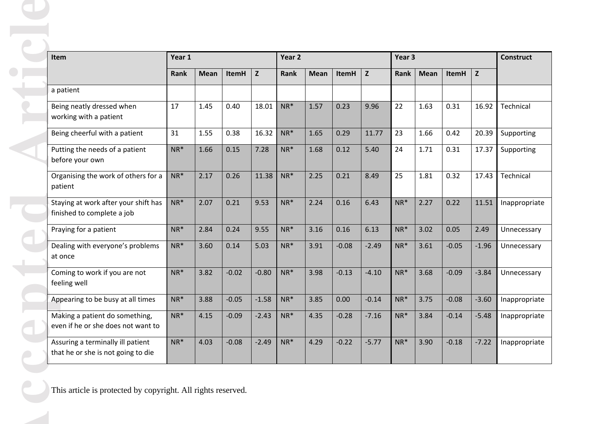| <b>Item</b>                                                             | Year 1 |             |              |         | Year 2 |             |              |         | Year 3 |             |              |         |               |
|-------------------------------------------------------------------------|--------|-------------|--------------|---------|--------|-------------|--------------|---------|--------|-------------|--------------|---------|---------------|
|                                                                         | Rank   | <b>Mean</b> | <b>ItemH</b> | Z       | Rank   | <b>Mean</b> | <b>ItemH</b> | Z       | Rank   | <b>Mean</b> | <b>ItemH</b> | Z       |               |
| a patient                                                               |        |             |              |         |        |             |              |         |        |             |              |         |               |
| Being neatly dressed when<br>working with a patient                     | 17     | 1.45        | 0.40         | 18.01   | $NR^*$ | 1.57        | 0.23         | 9.96    | 22     | 1.63        | 0.31         | 16.92   | Technical     |
| Being cheerful with a patient                                           | 31     | 1.55        | 0.38         | 16.32   | $NR^*$ | 1.65        | 0.29         | 11.77   | 23     | 1.66        | 0.42         | 20.39   | Supporting    |
| Putting the needs of a patient<br>before your own                       | $NR^*$ | 1.66        | 0.15         | 7.28    | $NR^*$ | 1.68        | 0.12         | 5.40    | 24     | 1.71        | 0.31         | 17.37   | Supporting    |
| Organising the work of others for a<br>patient                          | $NR^*$ | 2.17        | 0.26         | 11.38   | $NR^*$ | 2.25        | 0.21         | 8.49    | 25     | 1.81        | 0.32         | 17.43   | Technical     |
| Staying at work after your shift has<br>finished to complete a job      | $NR^*$ | 2.07        | 0.21         | 9.53    | $NR^*$ | 2.24        | 0.16         | 6.43    | $NR*$  | 2.27        | 0.22         | 11.51   | Inappropriate |
| Praying for a patient                                                   | $NR^*$ | 2.84        | 0.24         | 9.55    | NR*    | 3.16        | 0.16         | 6.13    | NR*    | 3.02        | 0.05         | 2.49    | Unnecessary   |
| Dealing with everyone's problems<br>at once                             | $NR^*$ | 3.60        | 0.14         | 5.03    | $NR^*$ | 3.91        | $-0.08$      | $-2.49$ | NR*    | 3.61        | $-0.05$      | $-1.96$ | Unnecessary   |
| Coming to work if you are not<br>feeling well                           | $NR^*$ | 3.82        | $-0.02$      | $-0.80$ | $NR^*$ | 3.98        | $-0.13$      | $-4.10$ | NR*    | 3.68        | $-0.09$      | $-3.84$ | Unnecessary   |
| Appearing to be busy at all times                                       | $NR^*$ | 3.88        | $-0.05$      | $-1.58$ | $NR^*$ | 3.85        | 0.00         | $-0.14$ | NR*    | 3.75        | $-0.08$      | $-3.60$ | Inappropriate |
| Making a patient do something,<br>even if he or she does not want to    | $NR^*$ | 4.15        | $-0.09$      | $-2.43$ | $NR^*$ | 4.35        | $-0.28$      | $-7.16$ | $NR^*$ | 3.84        | $-0.14$      | $-5.48$ | Inappropriate |
| Assuring a terminally ill patient<br>that he or she is not going to die | $NR^*$ | 4.03        | $-0.08$      | $-2.49$ | $NR^*$ | 4.29        | $-0.22$      | $-5.77$ | $NR^*$ | 3.90        | $-0.18$      | $-7.22$ | Inappropriate |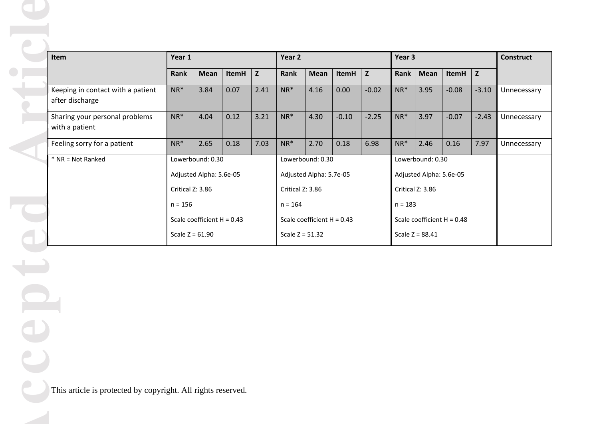| Item                                                 | Year 1                  |                              |       |              | Year 2            |                              |              |              | Year 3            |                         |                              |              | <b>Construct</b> |  |
|------------------------------------------------------|-------------------------|------------------------------|-------|--------------|-------------------|------------------------------|--------------|--------------|-------------------|-------------------------|------------------------------|--------------|------------------|--|
|                                                      | Rank                    | Mean                         | ItemH | $\mathbf{Z}$ | Rank              | <b>Mean</b>                  | <b>ItemH</b> | $\mathbf{Z}$ | Rank              | Mean                    | <b>ItemH</b>                 | $\mathbf{Z}$ |                  |  |
| Keeping in contact with a patient<br>after discharge | $NR^*$                  | 3.84                         | 0.07  | 2.41         | $NR^*$            | 4.16                         | 0.00         | $-0.02$      | $NR^*$            | 3.95                    | $-0.08$                      | $-3.10$      | Unnecessary      |  |
| Sharing your personal problems<br>with a patient     | $NR^*$                  | 4.04                         | 0.12  | 3.21         | $NR^*$            | 4.30                         | $-0.10$      | $-2.25$      | $NR^*$            | 3.97                    | $-0.07$                      | $-2.43$      | Unnecessary      |  |
| Feeling sorry for a patient                          | $NR^*$                  | 2.65                         | 0.18  | 7.03         | $NR^*$            | 2.70                         | 0.18         | 6.98         | $NR^*$            | 2.46                    | 0.16                         | 7.97         | Unnecessary      |  |
| * NR = Not Ranked                                    | Lowerbound: 0.30        |                              |       |              |                   | Lowerbound: 0.30             |              |              |                   | Lowerbound: 0.30        |                              |              |                  |  |
|                                                      | Adjusted Alpha: 5.6e-05 |                              |       |              |                   | Adjusted Alpha: 5.7e-05      |              |              |                   | Adjusted Alpha: 5.6e-05 |                              |              |                  |  |
| Critical Z: 3.86                                     |                         |                              |       |              | Critical Z: 3.86  |                              |              |              | Critical Z: 3.86  |                         |                              |              |                  |  |
|                                                      | $n = 156$               |                              |       | $n = 164$    |                   |                              |              | $n = 183$    |                   |                         |                              |              |                  |  |
|                                                      |                         | Scale coefficient $H = 0.43$ |       |              |                   | Scale coefficient $H = 0.43$ |              |              |                   |                         | Scale coefficient $H = 0.48$ |              |                  |  |
|                                                      | Scale $Z = 61.90$       |                              |       |              | Scale $Z = 51.32$ |                              |              |              | Scale $Z = 88.41$ |                         |                              |              |                  |  |
|                                                      |                         |                              |       |              |                   |                              |              |              |                   |                         |                              |              |                  |  |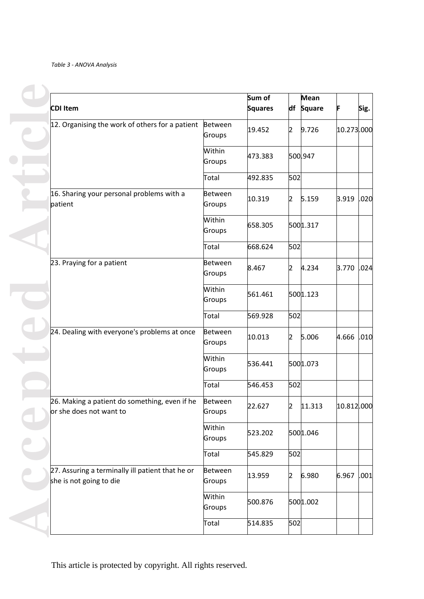**Sum of Squares** 

Total 492.835 502

Total 668.624 502

Total 569.928 502

Total 546.453 502

Total 545.829 502

Total 514.835 502

473.383 500.947

658.305 5001.317

561.461 500 1.123

536.441 500 1.073

523.202 5001.046

500.876 5001.002

**Mean** 

19.452 2 9.726 10.273.000

10.319 2 5.159 3.919 .020

 $\overline{8.467}$  2 4.234 3.770 024

 $10.013$  2 5.006 4.666 010

22.627 2 11.313 10.812.000

 $\vert$ 13.959 2 6.980 6.967 001

**Square F Sig.**

| <b>CDI Item</b>                                                             |                          |
|-----------------------------------------------------------------------------|--------------------------|
| 12. Organising the work of others for a patient                             | Between<br>Groups        |
|                                                                             | Within<br>Groups         |
|                                                                             | Total                    |
| 16. Sharing your personal problems with a<br>patient                        | Between<br>Groups        |
|                                                                             | Within<br>Groups         |
|                                                                             | Total                    |
| 23. Praying for a patient                                                   | Between<br>Groups        |
|                                                                             | Within<br>Groups         |
|                                                                             | Total                    |
| 24. Dealing with everyone's problems at once                                | Between<br>Groups        |
|                                                                             | Within                   |
|                                                                             | Groups                   |
|                                                                             | Total                    |
| 26. Making a patient do something, even if he<br>or she does not want to    | Between<br>Groups        |
|                                                                             | Within<br>Groups         |
|                                                                             | Total                    |
| 27. Assuring a terminally ill patient that he or<br>she is not going to die | <b>Between</b><br>Groups |
|                                                                             | Within<br>Groups         |
|                                                                             | Total                    |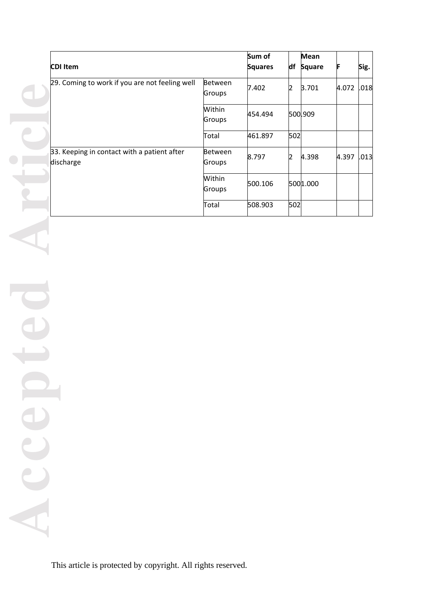| <b>CDI Item</b>                                          | Sum of<br><b>Squares</b> | df      | <b>Mean</b><br><b>Square</b> | F         | Sig.  |      |
|----------------------------------------------------------|--------------------------|---------|------------------------------|-----------|-------|------|
| 29. Coming to work if you are not feeling well           | Between<br>Groups        | 7.402   | 12                           | 3.701     | 4.072 | .018 |
|                                                          | Within<br>Groups         | 454.494 |                              | 500.909   |       |      |
|                                                          | Total                    | 461.897 | 502                          |           |       |      |
| 33. Keeping in contact with a patient after<br>discharge | Between<br>Groups        | 8.797   | 12                           | 4.398     | 4.397 | .013 |
|                                                          | Within<br>Groups         | 500.106 |                              | 500 1.000 |       |      |
|                                                          | Total                    | 508.903 | 502                          |           |       |      |